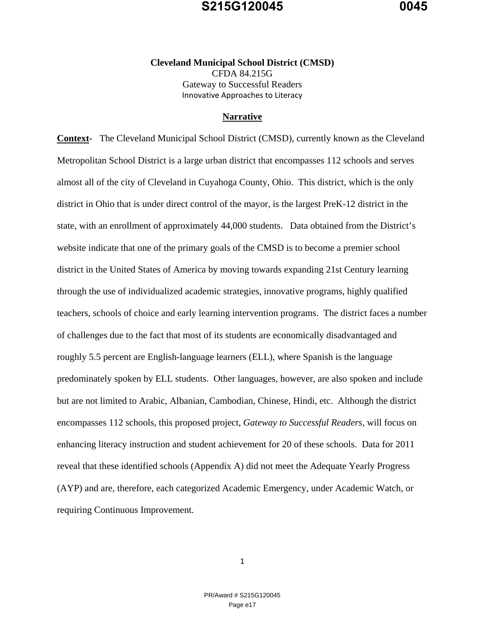#### **Cleveland Municipal School District (CMSD)**  CFDA 84.215G Gateway to Successful Readers Innovative Approaches to Literacy

#### **Narrative**

**Context-** The Cleveland Municipal School District (CMSD), currently known as the Cleveland Metropolitan School District is a large urban district that encompasses 112 schools and serves almost all of the city of Cleveland in Cuyahoga County, Ohio. This district, which is the only district in Ohio that is under direct control of the mayor, is the largest PreK-12 district in the state, with an enrollment of approximately 44,000 students. Data obtained from the District's website indicate that one of the primary goals of the CMSD is to become a premier school district in the United States of America by moving towards expanding 21st Century learning through the use of individualized academic strategies, innovative programs, highly qualified teachers, schools of choice and early learning intervention programs. The district faces a number of challenges due to the fact that most of its students are economically disadvantaged and roughly 5.5 percent are English-language learners (ELL), where Spanish is the language predominately spoken by ELL students. Other languages, however, are also spoken and include but are not limited to Arabic, Albanian, Cambodian, Chinese, Hindi, etc. Although the district encompasses 112 schools, this proposed project, *Gateway to Successful Readers,* will focus on enhancing literacy instruction and student achievement for 20 of these schools. Data for 2011 reveal that these identified schools (Appendix A) did not meet the Adequate Yearly Progress (AYP) and are, therefore, each categorized Academic Emergency, under Academic Watch, or requiring Continuous Improvement.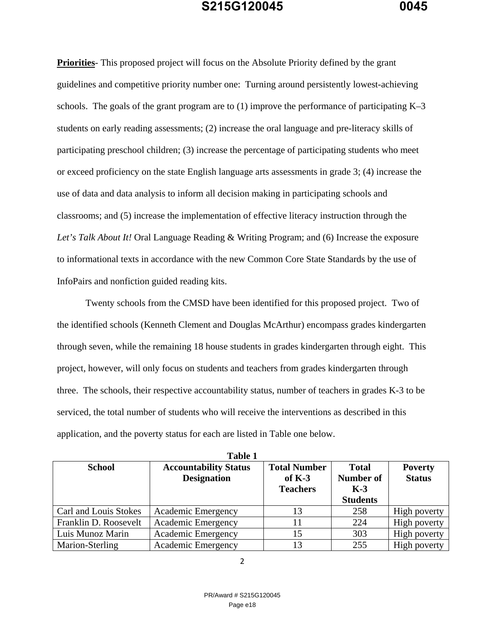**Priorities**- This proposed project will focus on the Absolute Priority defined by the grant guidelines and competitive priority number one: Turning around persistently lowest-achieving schools. The goals of the grant program are to (1) improve the performance of participating K–3 students on early reading assessments; (2) increase the oral language and pre-literacy skills of participating preschool children; (3) increase the percentage of participating students who meet or exceed proficiency on the state English language arts assessments in grade 3; (4) increase the use of data and data analysis to inform all decision making in participating schools and classrooms; and (5) increase the implementation of effective literacy instruction through the *Let's Talk About It!* Oral Language Reading & Writing Program; and (6) Increase the exposure to informational texts in accordance with the new Common Core State Standards by the use of InfoPairs and nonfiction guided reading kits.

Twenty schools from the CMSD have been identified for this proposed project. Two of the identified schools (Kenneth Clement and Douglas McArthur) encompass grades kindergarten through seven, while the remaining 18 house students in grades kindergarten through eight. This project, however, will only focus on students and teachers from grades kindergarten through three. The schools, their respective accountability status, number of teachers in grades K-3 to be serviced, the total number of students who will receive the interventions as described in this application, and the poverty status for each are listed in Table one below.

| <b>School</b>         | <b>Accountability Status</b><br><b>Designation</b> | <b>Total Number</b><br>of $K-3$<br><b>Teachers</b> | <b>Total</b><br><b>Number of</b><br>$K-3$<br><b>Students</b> | <b>Poverty</b><br><b>Status</b> |
|-----------------------|----------------------------------------------------|----------------------------------------------------|--------------------------------------------------------------|---------------------------------|
| Carl and Louis Stokes | Academic Emergency                                 | 13                                                 | 258                                                          | High poverty                    |
| Franklin D. Roosevelt | Academic Emergency                                 | 11                                                 | 224                                                          | High poverty                    |
| Luis Munoz Marin      | <b>Academic Emergency</b>                          | 15                                                 | 303                                                          | High poverty                    |
| Marion-Sterling       | Academic Emergency                                 | 13                                                 | 255                                                          | High poverty                    |

**Table 1 Table 1**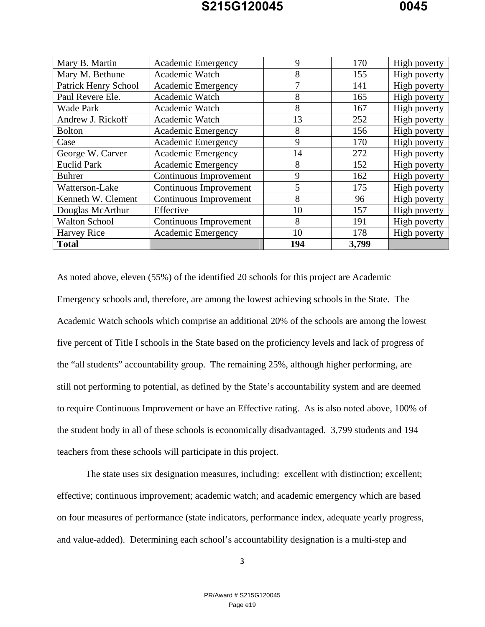| Mary B. Martin              | <b>Academic Emergency</b> | 9   | 170   | High poverty |
|-----------------------------|---------------------------|-----|-------|--------------|
| Mary M. Bethune             | Academic Watch            | 8   | 155   | High poverty |
| <b>Patrick Henry School</b> | <b>Academic Emergency</b> | 7   | 141   | High poverty |
| Paul Revere Ele.            | Academic Watch            | 8   | 165   | High poverty |
| <b>Wade Park</b>            | Academic Watch            | 8   | 167   | High poverty |
| Andrew J. Rickoff           | Academic Watch            | 13  | 252   | High poverty |
| <b>Bolton</b>               | Academic Emergency        | 8   | 156   | High poverty |
| Case                        | Academic Emergency        | 9   | 170   | High poverty |
| George W. Carver            | Academic Emergency        | 14  | 272   | High poverty |
| <b>Euclid Park</b>          | <b>Academic Emergency</b> | 8   | 152   | High poverty |
| <b>Buhrer</b>               | Continuous Improvement    | 9   | 162   | High poverty |
| Watterson-Lake              | Continuous Improvement    | 5   | 175   | High poverty |
| Kenneth W. Clement          | Continuous Improvement    | 8   | 96    | High poverty |
| Douglas McArthur            | Effective                 | 10  | 157   | High poverty |
| <b>Walton School</b>        | Continuous Improvement    | 8   | 191   | High poverty |
| <b>Harvey Rice</b>          | Academic Emergency        | 10  | 178   | High poverty |
| <b>Total</b>                |                           | 194 | 3,799 |              |

As noted above, eleven (55%) of the identified 20 schools for this project are Academic Emergency schools and, therefore, are among the lowest achieving schools in the State. The Academic Watch schools which comprise an additional 20% of the schools are among the lowest five percent of Title I schools in the State based on the proficiency levels and lack of progress of the "all students" accountability group. The remaining 25%, although higher performing, are still not performing to potential, as defined by the State's accountability system and are deemed to require Continuous Improvement or have an Effective rating. As is also noted above, 100% of the student body in all of these schools is economically disadvantaged. 3,799 students and 194 teachers from these schools will participate in this project.

 The state uses six designation measures, including: excellent with distinction; excellent; effective; continuous improvement; academic watch; and academic emergency which are based on four measures of performance (state indicators, performance index, adequate yearly progress, and value-added). Determining each school's accountability designation is a multi-step and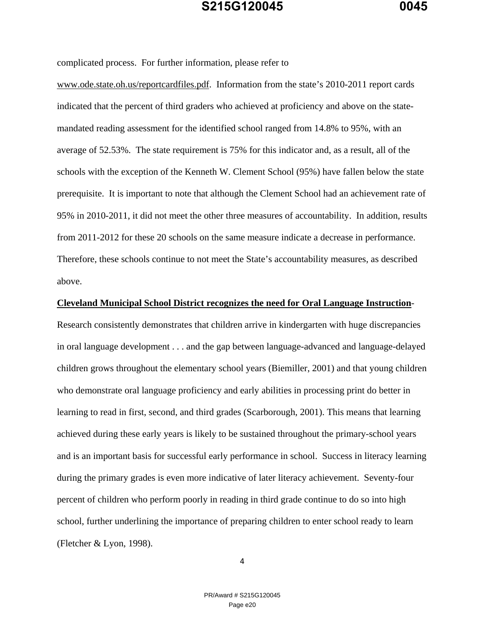complicated process. For further information, please refer to

www.ode.state.oh.us/reportcardfiles.pdf. Information from the state's 2010-2011 report cards indicated that the percent of third graders who achieved at proficiency and above on the statemandated reading assessment for the identified school ranged from 14.8% to 95%, with an average of 52.53%. The state requirement is 75% for this indicator and, as a result, all of the schools with the exception of the Kenneth W. Clement School (95%) have fallen below the state prerequisite. It is important to note that although the Clement School had an achievement rate of 95% in 2010-2011, it did not meet the other three measures of accountability. In addition, results from 2011-2012 for these 20 schools on the same measure indicate a decrease in performance. Therefore, these schools continue to not meet the State's accountability measures, as described above.

#### **Cleveland Municipal School District recognizes the need for Oral Language Instruction**-

Research consistently demonstrates that children arrive in kindergarten with huge discrepancies in oral language development . . . and the gap between language-advanced and language-delayed children grows throughout the elementary school years (Biemiller, 2001) and that young children who demonstrate oral language proficiency and early abilities in processing print do better in learning to read in first, second, and third grades (Scarborough, 2001). This means that learning achieved during these early years is likely to be sustained throughout the primary-school years and is an important basis for successful early performance in school. Success in literacy learning during the primary grades is even more indicative of later literacy achievement. Seventy-four percent of children who perform poorly in reading in third grade continue to do so into high school, further underlining the importance of preparing children to enter school ready to learn (Fletcher & Lyon, 1998).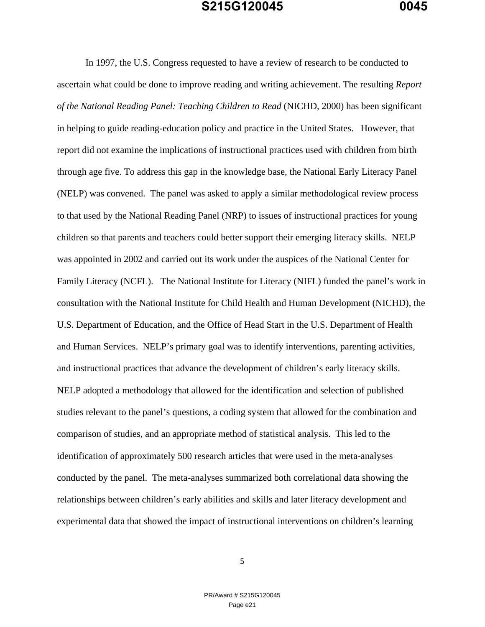In 1997, the U.S. Congress requested to have a review of research to be conducted to ascertain what could be done to improve reading and writing achievement. The resulting *Report of the National Reading Panel: Teaching Children to Read* (NICHD, 2000) has been significant in helping to guide reading-education policy and practice in the United States. However, that report did not examine the implications of instructional practices used with children from birth through age five. To address this gap in the knowledge base, the National Early Literacy Panel (NELP) was convened. The panel was asked to apply a similar methodological review process to that used by the National Reading Panel (NRP) to issues of instructional practices for young children so that parents and teachers could better support their emerging literacy skills. NELP was appointed in 2002 and carried out its work under the auspices of the National Center for Family Literacy (NCFL). The National Institute for Literacy (NIFL) funded the panel's work in consultation with the National Institute for Child Health and Human Development (NICHD), the U.S. Department of Education, and the Office of Head Start in the U.S. Department of Health and Human Services. NELP's primary goal was to identify interventions, parenting activities, and instructional practices that advance the development of children's early literacy skills. NELP adopted a methodology that allowed for the identification and selection of published studies relevant to the panel's questions, a coding system that allowed for the combination and comparison of studies, and an appropriate method of statistical analysis. This led to the identification of approximately 500 research articles that were used in the meta-analyses conducted by the panel. The meta-analyses summarized both correlational data showing the relationships between children's early abilities and skills and later literacy development and experimental data that showed the impact of instructional interventions on children's learning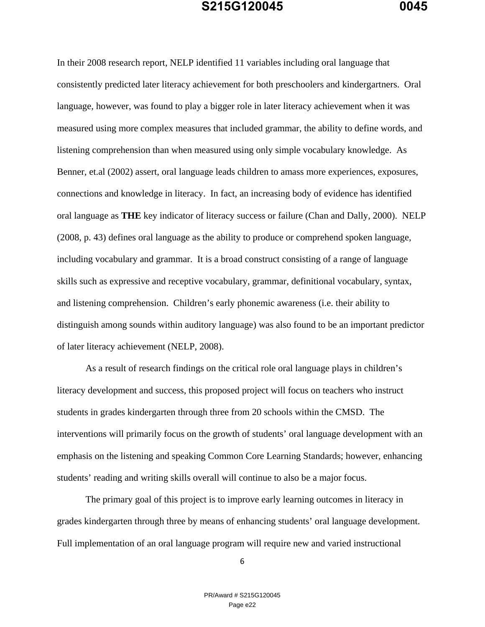In their 2008 research report, NELP identified 11 variables including oral language that consistently predicted later literacy achievement for both preschoolers and kindergartners. Oral language, however, was found to play a bigger role in later literacy achievement when it was measured using more complex measures that included grammar, the ability to define words, and listening comprehension than when measured using only simple vocabulary knowledge. As Benner, et.al (2002) assert, oral language leads children to amass more experiences, exposures, connections and knowledge in literacy. In fact, an increasing body of evidence has identified oral language as **THE** key indicator of literacy success or failure (Chan and Dally, 2000). NELP (2008, p. 43) defines oral language as the ability to produce or comprehend spoken language, including vocabulary and grammar. It is a broad construct consisting of a range of language skills such as expressive and receptive vocabulary, grammar, definitional vocabulary, syntax, and listening comprehension. Children's early phonemic awareness (i.e. their ability to distinguish among sounds within auditory language) was also found to be an important predictor of later literacy achievement (NELP, 2008).

As a result of research findings on the critical role oral language plays in children's literacy development and success, this proposed project will focus on teachers who instruct students in grades kindergarten through three from 20 schools within the CMSD. The interventions will primarily focus on the growth of students' oral language development with an emphasis on the listening and speaking Common Core Learning Standards; however, enhancing students' reading and writing skills overall will continue to also be a major focus.

The primary goal of this project is to improve early learning outcomes in literacy in grades kindergarten through three by means of enhancing students' oral language development. Full implementation of an oral language program will require new and varied instructional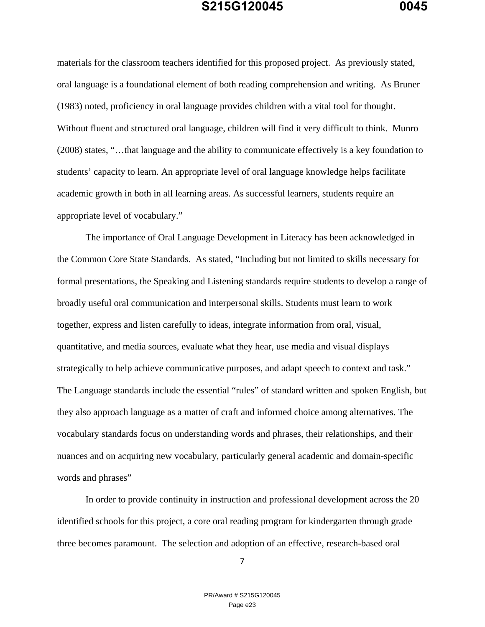materials for the classroom teachers identified for this proposed project. As previously stated, oral language is a foundational element of both reading comprehension and writing. As Bruner (1983) noted, proficiency in oral language provides children with a vital tool for thought. Without fluent and structured oral language, children will find it very difficult to think. Munro (2008) states, "…that language and the ability to communicate effectively is a key foundation to students' capacity to learn. An appropriate level of oral language knowledge helps facilitate academic growth in both in all learning areas. As successful learners, students require an appropriate level of vocabulary."

The importance of Oral Language Development in Literacy has been acknowledged in the Common Core State Standards. As stated, "Including but not limited to skills necessary for formal presentations, the Speaking and Listening standards require students to develop a range of broadly useful oral communication and interpersonal skills. Students must learn to work together, express and listen carefully to ideas, integrate information from oral, visual, quantitative, and media sources, evaluate what they hear, use media and visual displays strategically to help achieve communicative purposes, and adapt speech to context and task." The Language standards include the essential "rules" of standard written and spoken English, but they also approach language as a matter of craft and informed choice among alternatives. The vocabulary standards focus on understanding words and phrases, their relationships, and their nuances and on acquiring new vocabulary, particularly general academic and domain-specific words and phrases"

In order to provide continuity in instruction and professional development across the 20 identified schools for this project, a core oral reading program for kindergarten through grade three becomes paramount. The selection and adoption of an effective, research-based oral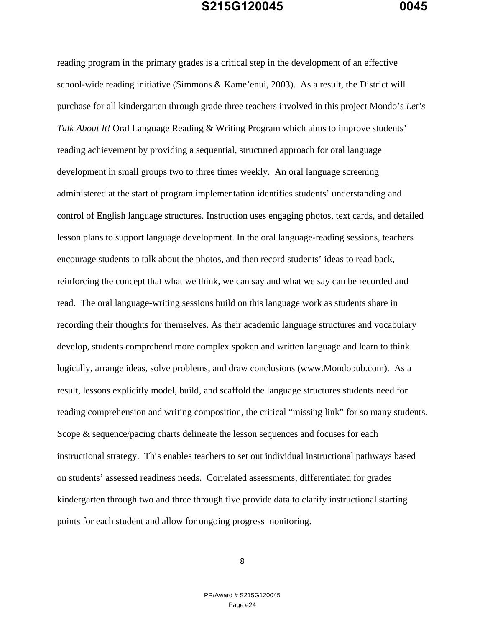reading program in the primary grades is a critical step in the development of an effective school-wide reading initiative (Simmons & Kame'enui, 2003). As a result, the District will purchase for all kindergarten through grade three teachers involved in this project Mondo's *Let's Talk About It!* Oral Language Reading & Writing Program which aims to improve students' reading achievement by providing a sequential, structured approach for oral language development in small groups two to three times weekly. An oral language screening administered at the start of program implementation identifies students' understanding and control of English language structures. Instruction uses engaging photos, text cards, and detailed lesson plans to support language development. In the oral language-reading sessions, teachers encourage students to talk about the photos, and then record students' ideas to read back, reinforcing the concept that what we think, we can say and what we say can be recorded and read. The oral language-writing sessions build on this language work as students share in recording their thoughts for themselves. As their academic language structures and vocabulary develop, students comprehend more complex spoken and written language and learn to think logically, arrange ideas, solve problems, and draw conclusions (www.Mondopub.com). As a result, lessons explicitly model, build, and scaffold the language structures students need for reading comprehension and writing composition, the critical "missing link" for so many students. Scope & sequence/pacing charts delineate the lesson sequences and focuses for each instructional strategy. This enables teachers to set out individual instructional pathways based on students' assessed readiness needs. Correlated assessments, differentiated for grades kindergarten through two and three through five provide data to clarify instructional starting points for each student and allow for ongoing progress monitoring.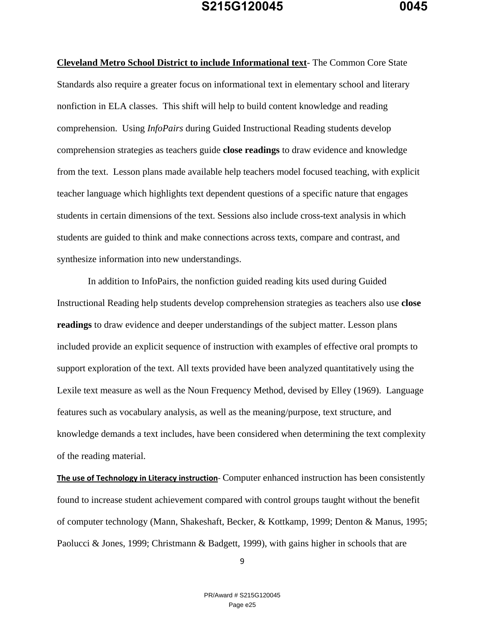**Cleveland Metro School District to include Informational text**- The Common Core State Standards also require a greater focus on informational text in elementary school and literary nonfiction in ELA classes. This shift will help to build content knowledge and reading comprehension. Using *InfoPairs* during Guided Instructional Reading students develop comprehension strategies as teachers guide **close readings** to draw evidence and knowledge from the text. Lesson plans made available help teachers model focused teaching, with explicit teacher language which highlights text dependent questions of a specific nature that engages students in certain dimensions of the text. Sessions also include cross-text analysis in which students are guided to think and make connections across texts, compare and contrast, and synthesize information into new understandings.

 In addition to InfoPairs, the nonfiction guided reading kits used during Guided Instructional Reading help students develop comprehension strategies as teachers also use **close readings** to draw evidence and deeper understandings of the subject matter. Lesson plans included provide an explicit sequence of instruction with examples of effective oral prompts to support exploration of the text. All texts provided have been analyzed quantitatively using the Lexile text measure as well as the Noun Frequency Method, devised by Elley (1969). Language features such as vocabulary analysis, as well as the meaning/purpose, text structure, and knowledge demands a text includes, have been considered when determining the text complexity of the reading material.

**The use of Technology in Literacy instruction**‐ Computer enhanced instruction has been consistently found to increase student achievement compared with control groups taught without the benefit of computer technology (Mann, Shakeshaft, Becker, & Kottkamp, 1999; Denton & Manus, 1995; Paolucci & Jones, 1999; Christmann & Badgett, 1999), with gains higher in schools that are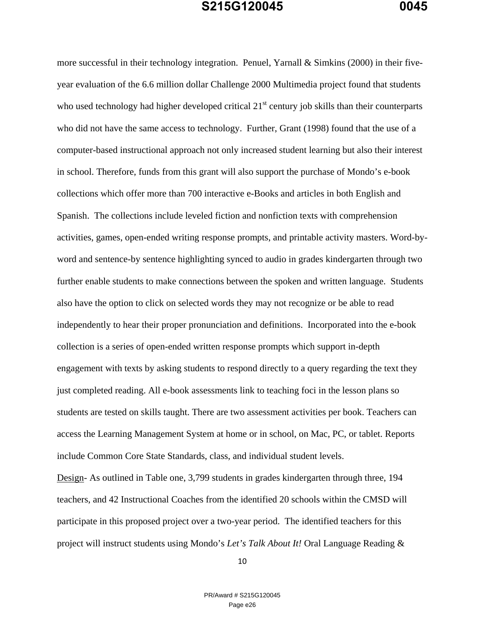more successful in their technology integration. Penuel, Yarnall & Simkins (2000) in their fiveyear evaluation of the 6.6 million dollar Challenge 2000 Multimedia project found that students who used technology had higher developed critical  $21<sup>st</sup>$  century job skills than their counterparts who did not have the same access to technology. Further, Grant (1998) found that the use of a computer-based instructional approach not only increased student learning but also their interest in school. Therefore, funds from this grant will also support the purchase of Mondo's e-book collections which offer more than 700 interactive e-Books and articles in both English and Spanish. The collections include leveled fiction and nonfiction texts with comprehension activities, games, open-ended writing response prompts, and printable activity masters. Word-byword and sentence-by sentence highlighting synced to audio in grades kindergarten through two further enable students to make connections between the spoken and written language. Students also have the option to click on selected words they may not recognize or be able to read independently to hear their proper pronunciation and definitions. Incorporated into the e-book collection is a series of open-ended written response prompts which support in-depth engagement with texts by asking students to respond directly to a query regarding the text they just completed reading. All e-book assessments link to teaching foci in the lesson plans so students are tested on skills taught. There are two assessment activities per book. Teachers can access the Learning Management System at home or in school, on Mac, PC, or tablet. Reports include Common Core State Standards, class, and individual student levels.

Design- As outlined in Table one, 3,799 students in grades kindergarten through three, 194 teachers, and 42 Instructional Coaches from the identified 20 schools within the CMSD will participate in this proposed project over a two-year period. The identified teachers for this project will instruct students using Mondo's *Let's Talk About It!* Oral Language Reading &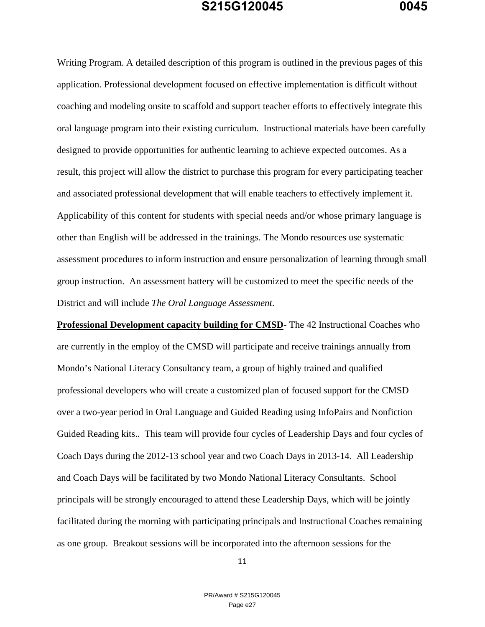Writing Program. A detailed description of this program is outlined in the previous pages of this application. Professional development focused on effective implementation is difficult without coaching and modeling onsite to scaffold and support teacher efforts to effectively integrate this oral language program into their existing curriculum. Instructional materials have been carefully designed to provide opportunities for authentic learning to achieve expected outcomes. As a result, this project will allow the district to purchase this program for every participating teacher and associated professional development that will enable teachers to effectively implement it. Applicability of this content for students with special needs and/or whose primary language is other than English will be addressed in the trainings. The Mondo resources use systematic assessment procedures to inform instruction and ensure personalization of learning through small group instruction. An assessment battery will be customized to meet the specific needs of the District and will include *The Oral Language Assessment*.

**Professional Development capacity building for CMSD**- The 42 Instructional Coaches who are currently in the employ of the CMSD will participate and receive trainings annually from Mondo's National Literacy Consultancy team, a group of highly trained and qualified professional developers who will create a customized plan of focused support for the CMSD over a two-year period in Oral Language and Guided Reading using InfoPairs and Nonfiction Guided Reading kits.. This team will provide four cycles of Leadership Days and four cycles of Coach Days during the 2012-13 school year and two Coach Days in 2013-14. All Leadership and Coach Days will be facilitated by two Mondo National Literacy Consultants. School principals will be strongly encouraged to attend these Leadership Days, which will be jointly facilitated during the morning with participating principals and Instructional Coaches remaining as one group. Breakout sessions will be incorporated into the afternoon sessions for the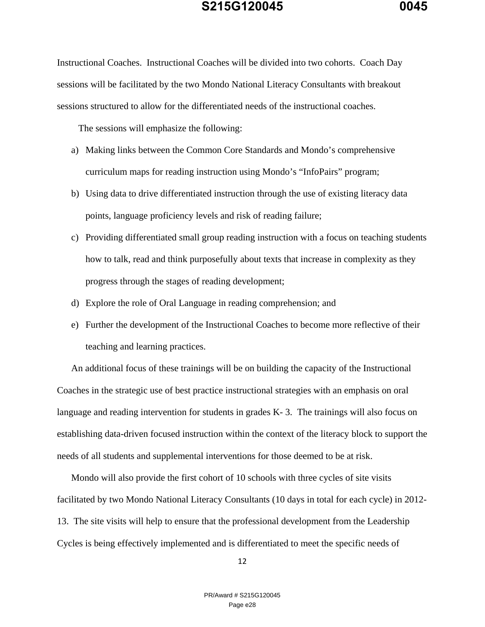Instructional Coaches. Instructional Coaches will be divided into two cohorts. Coach Day sessions will be facilitated by the two Mondo National Literacy Consultants with breakout sessions structured to allow for the differentiated needs of the instructional coaches.

The sessions will emphasize the following:

- a) Making links between the Common Core Standards and Mondo's comprehensive curriculum maps for reading instruction using Mondo's "InfoPairs" program;
- b) Using data to drive differentiated instruction through the use of existing literacy data points, language proficiency levels and risk of reading failure;
- c) Providing differentiated small group reading instruction with a focus on teaching students how to talk, read and think purposefully about texts that increase in complexity as they progress through the stages of reading development;
- d) Explore the role of Oral Language in reading comprehension; and
- e) Further the development of the Instructional Coaches to become more reflective of their teaching and learning practices.

An additional focus of these trainings will be on building the capacity of the Instructional Coaches in the strategic use of best practice instructional strategies with an emphasis on oral language and reading intervention for students in grades K-3. The trainings will also focus on establishing data-driven focused instruction within the context of the literacy block to support the needs of all students and supplemental interventions for those deemed to be at risk.

Mondo will also provide the first cohort of 10 schools with three cycles of site visits facilitated by two Mondo National Literacy Consultants (10 days in total for each cycle) in 2012- 13. The site visits will help to ensure that the professional development from the Leadership Cycles is being effectively implemented and is differentiated to meet the specific needs of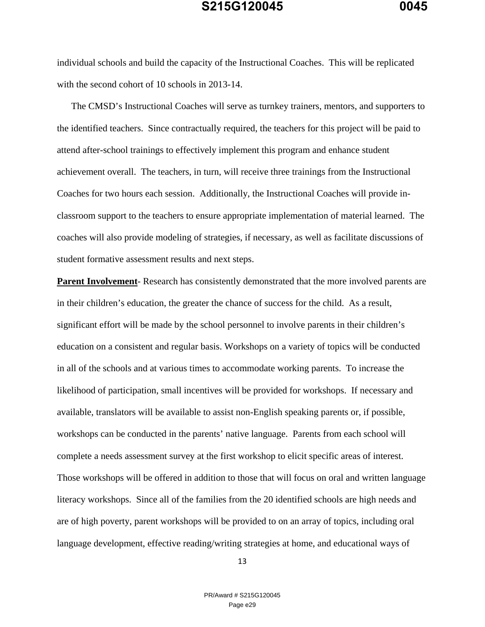individual schools and build the capacity of the Instructional Coaches. This will be replicated with the second cohort of 10 schools in 2013-14.

The CMSD's Instructional Coaches will serve as turnkey trainers, mentors, and supporters to the identified teachers. Since contractually required, the teachers for this project will be paid to attend after-school trainings to effectively implement this program and enhance student achievement overall. The teachers, in turn, will receive three trainings from the Instructional Coaches for two hours each session. Additionally, the Instructional Coaches will provide inclassroom support to the teachers to ensure appropriate implementation of material learned. The coaches will also provide modeling of strategies, if necessary, as well as facilitate discussions of student formative assessment results and next steps.

**Parent Involvement**- Research has consistently demonstrated that the more involved parents are in their children's education, the greater the chance of success for the child. As a result, significant effort will be made by the school personnel to involve parents in their children's education on a consistent and regular basis. Workshops on a variety of topics will be conducted in all of the schools and at various times to accommodate working parents. To increase the likelihood of participation, small incentives will be provided for workshops. If necessary and available, translators will be available to assist non-English speaking parents or, if possible, workshops can be conducted in the parents' native language. Parents from each school will complete a needs assessment survey at the first workshop to elicit specific areas of interest. Those workshops will be offered in addition to those that will focus on oral and written language literacy workshops. Since all of the families from the 20 identified schools are high needs and are of high poverty, parent workshops will be provided to on an array of topics, including oral language development, effective reading/writing strategies at home, and educational ways of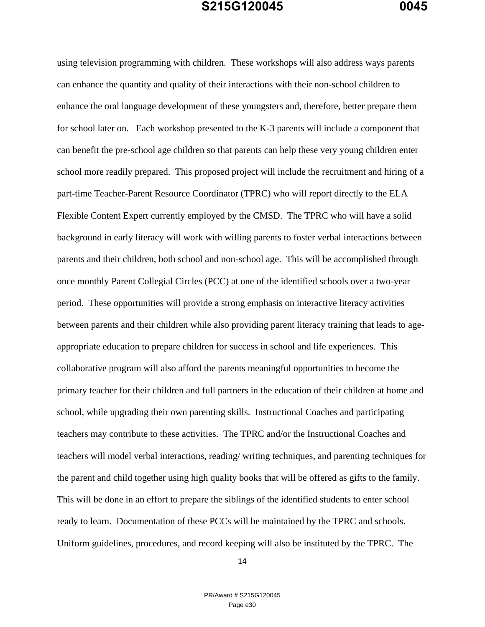using television programming with children. These workshops will also address ways parents can enhance the quantity and quality of their interactions with their non-school children to enhance the oral language development of these youngsters and, therefore, better prepare them for school later on. Each workshop presented to the K-3 parents will include a component that can benefit the pre-school age children so that parents can help these very young children enter school more readily prepared. This proposed project will include the recruitment and hiring of a part-time Teacher-Parent Resource Coordinator (TPRC) who will report directly to the ELA Flexible Content Expert currently employed by the CMSD. The TPRC who will have a solid background in early literacy will work with willing parents to foster verbal interactions between parents and their children, both school and non-school age. This will be accomplished through once monthly Parent Collegial Circles (PCC) at one of the identified schools over a two-year period. These opportunities will provide a strong emphasis on interactive literacy activities between parents and their children while also providing parent literacy training that leads to ageappropriate education to prepare children for success in school and life experiences. This collaborative program will also afford the parents meaningful opportunities to become the primary teacher for their children and full partners in the education of their children at home and school, while upgrading their own parenting skills. Instructional Coaches and participating teachers may contribute to these activities. The TPRC and/or the Instructional Coaches and teachers will model verbal interactions, reading/ writing techniques, and parenting techniques for the parent and child together using high quality books that will be offered as gifts to the family. This will be done in an effort to prepare the siblings of the identified students to enter school ready to learn. Documentation of these PCCs will be maintained by the TPRC and schools. Uniform guidelines, procedures, and record keeping will also be instituted by the TPRC. The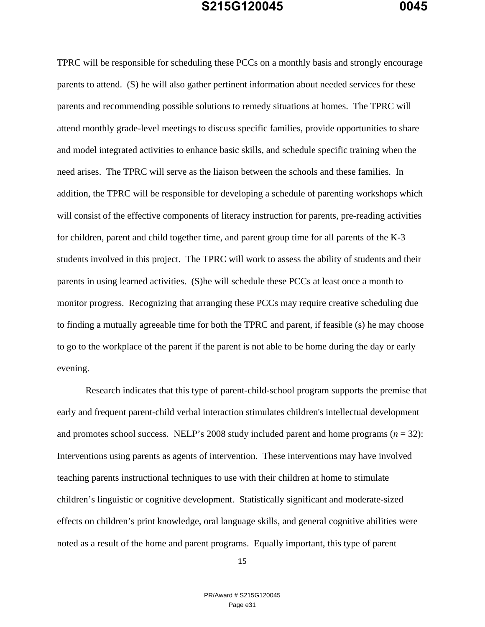TPRC will be responsible for scheduling these PCCs on a monthly basis and strongly encourage parents to attend. (S) he will also gather pertinent information about needed services for these parents and recommending possible solutions to remedy situations at homes. The TPRC will attend monthly grade-level meetings to discuss specific families, provide opportunities to share and model integrated activities to enhance basic skills, and schedule specific training when the need arises. The TPRC will serve as the liaison between the schools and these families. In addition, the TPRC will be responsible for developing a schedule of parenting workshops which will consist of the effective components of literacy instruction for parents, pre-reading activities for children, parent and child together time, and parent group time for all parents of the K-3 students involved in this project. The TPRC will work to assess the ability of students and their parents in using learned activities. (S)he will schedule these PCCs at least once a month to monitor progress. Recognizing that arranging these PCCs may require creative scheduling due to finding a mutually agreeable time for both the TPRC and parent, if feasible (s) he may choose to go to the workplace of the parent if the parent is not able to be home during the day or early evening.

Research indicates that this type of parent-child-school program supports the premise that early and frequent parent-child verbal interaction stimulates children's intellectual development and promotes school success. NELP's 2008 study included parent and home programs  $(n = 32)$ : Interventions using parents as agents of intervention. These interventions may have involved teaching parents instructional techniques to use with their children at home to stimulate children's linguistic or cognitive development. Statistically significant and moderate-sized effects on children's print knowledge, oral language skills, and general cognitive abilities were noted as a result of the home and parent programs. Equally important, this type of parent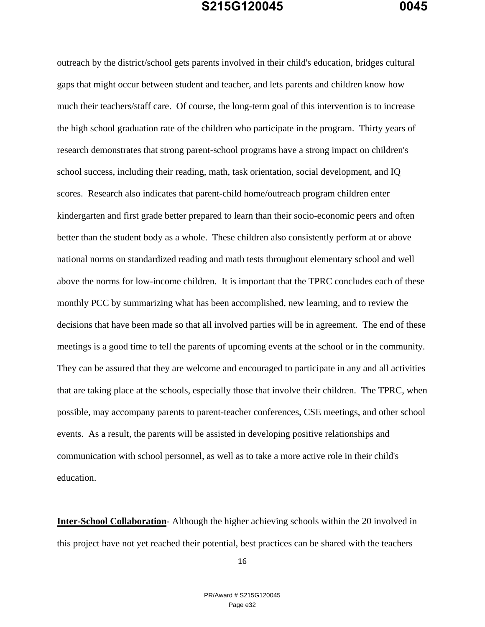outreach by the district/school gets parents involved in their child's education, bridges cultural gaps that might occur between student and teacher, and lets parents and children know how much their teachers/staff care.Of course, the long-term goal of this intervention is to increase the high school graduation rate of the children who participate in the program. Thirty years of research demonstrates that strong parent-school programs have a strong impact on children's school success, including their reading, math, task orientation, social development, and IQ scores. Research also indicates that parent-child home/outreach program children enter kindergarten and first grade better prepared to learn than their socio-economic peers and often better than the student body as a whole. These children also consistently perform at or above national norms on standardized reading and math tests throughout elementary school and well above the norms for low-income children. It is important that the TPRC concludes each of these monthly PCC by summarizing what has been accomplished, new learning, and to review the decisions that have been made so that all involved parties will be in agreement. The end of these meetings is a good time to tell the parents of upcoming events at the school or in the community. They can be assured that they are welcome and encouraged to participate in any and all activities that are taking place at the schools, especially those that involve their children. The TPRC, when possible, may accompany parents to parent-teacher conferences, CSE meetings, and other school events. As a result, the parents will be assisted in developing positive relationships and communication with school personnel, as well as to take a more active role in their child's education.

**Inter-School Collaboration**- Although the higher achieving schools within the 20 involved in this project have not yet reached their potential, best practices can be shared with the teachers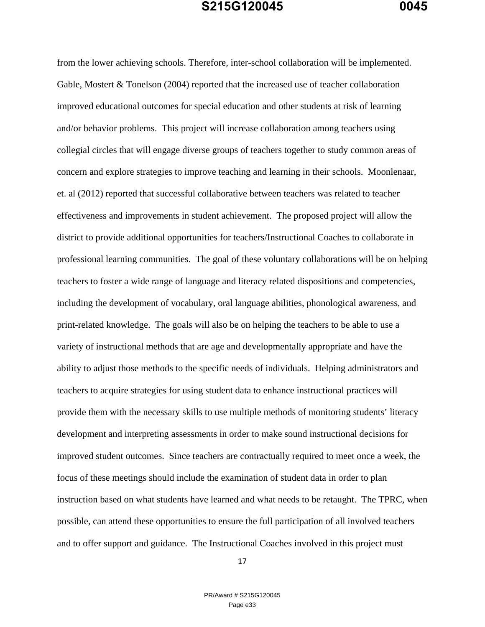from the lower achieving schools. Therefore, inter-school collaboration will be implemented. Gable, Mostert & Tonelson (2004) reported that the increased use of teacher collaboration improved educational outcomes for special education and other students at risk of learning and/or behavior problems. This project will increase collaboration among teachers using collegial circles that will engage diverse groups of teachers together to study common areas of concern and explore strategies to improve teaching and learning in their schools. Moonlenaar, et. al (2012) reported that successful collaborative between teachers was related to teacher effectiveness and improvements in student achievement. The proposed project will allow the district to provide additional opportunities for teachers/Instructional Coaches to collaborate in professional learning communities. The goal of these voluntary collaborations will be on helping teachers to foster a wide range of language and literacy related dispositions and competencies, including the development of vocabulary, oral language abilities, phonological awareness, and print-related knowledge. The goals will also be on helping the teachers to be able to use a variety of instructional methods that are age and developmentally appropriate and have the ability to adjust those methods to the specific needs of individuals. Helping administrators and teachers to acquire strategies for using student data to enhance instructional practices will provide them with the necessary skills to use multiple methods of monitoring students' literacy development and interpreting assessments in order to make sound instructional decisions for improved student outcomes. Since teachers are contractually required to meet once a week, the focus of these meetings should include the examination of student data in order to plan instruction based on what students have learned and what needs to be retaught. The TPRC, when possible, can attend these opportunities to ensure the full participation of all involved teachers and to offer support and guidance. The Instructional Coaches involved in this project must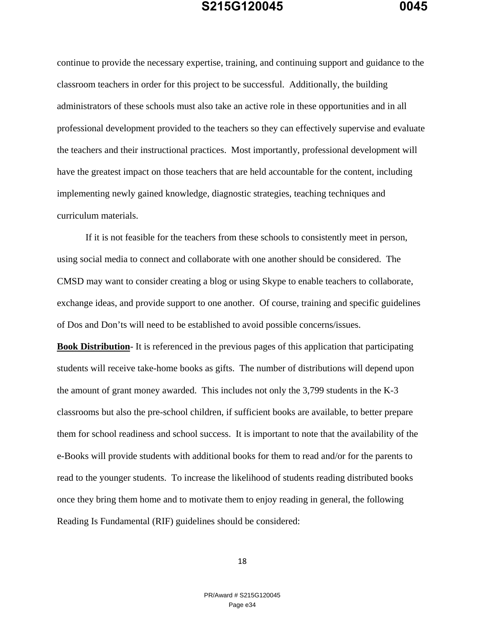continue to provide the necessary expertise, training, and continuing support and guidance to the classroom teachers in order for this project to be successful. Additionally, the building administrators of these schools must also take an active role in these opportunities and in all professional development provided to the teachers so they can effectively supervise and evaluate the teachers and their instructional practices. Most importantly, professional development will have the greatest impact on those teachers that are held accountable for the content, including implementing newly gained knowledge, diagnostic strategies, teaching techniques and curriculum materials.

If it is not feasible for the teachers from these schools to consistently meet in person, using social media to connect and collaborate with one another should be considered. The CMSD may want to consider creating a blog or using Skype to enable teachers to collaborate, exchange ideas, and provide support to one another. Of course, training and specific guidelines of Dos and Don'ts will need to be established to avoid possible concerns/issues.

**Book Distribution**- It is referenced in the previous pages of this application that participating students will receive take-home books as gifts. The number of distributions will depend upon the amount of grant money awarded. This includes not only the 3,799 students in the K-3 classrooms but also the pre-school children, if sufficient books are available, to better prepare them for school readiness and school success. It is important to note that the availability of the e-Books will provide students with additional books for them to read and/or for the parents to read to the younger students. To increase the likelihood of students reading distributed books once they bring them home and to motivate them to enjoy reading in general, the following Reading Is Fundamental (RIF) guidelines should be considered: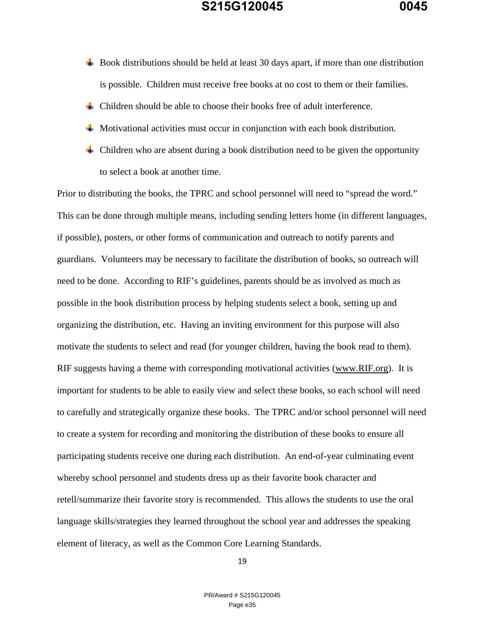- $\overline{\phantom{a}}$  Book distributions should be held at least 30 days apart, if more than one distribution is possible. Children must receive free books at no cost to them or their families.
- $\pm$  Children should be able to choose their books free of adult interference.
- Motivational activities must occur in conjunction with each book distribution.
- $\downarrow$  Children who are absent during a book distribution need to be given the opportunity to select a book at another time.

Prior to distributing the books, the TPRC and school personnel will need to "spread the word." This can be done through multiple means, including sending letters home (in different languages, if possible), posters, or other forms of communication and outreach to notify parents and guardians. Volunteers may be necessary to facilitate the distribution of books, so outreach will need to be done. According to RIF's guidelines, parents should be as involved as much as possible in the book distribution process by helping students select a book, setting up and organizing the distribution, etc. Having an inviting environment for this purpose will also motivate the students to select and read (for younger children, having the book read to them). RIF suggests having a theme with corresponding motivational activities (www.RIF.org). It is important for students to be able to easily view and select these books, so each school will need to carefully and strategically organize these books. The TPRC and/or school personnel will need to create a system for recording and monitoring the distribution of these books to ensure all participating students receive one during each distribution. An end-of-year culminating event whereby school personnel and students dress up as their favorite book character and retell/summarize their favorite story is recommended. This allows the students to use the oral language skills/strategies they learned throughout the school year and addresses the speaking element of literacy, as well as the Common Core Learning Standards.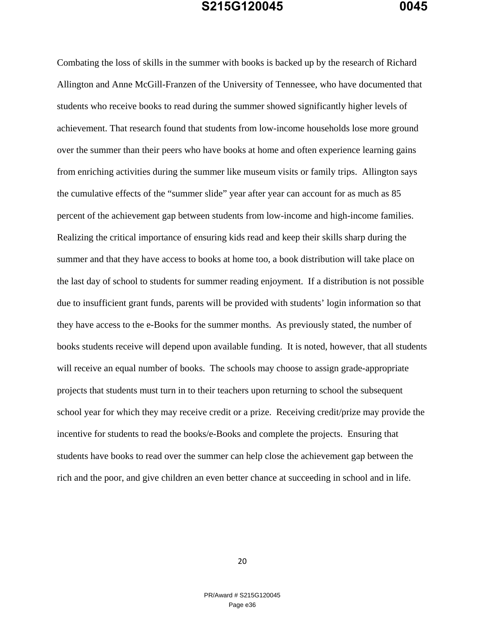Combating the loss of skills in the summer with books is backed up by the research of Richard Allington and Anne McGill-Franzen of the University of Tennessee, who have documented that students who receive books to read during the summer showed significantly higher levels of achievement. That research found that students from low-income households lose more ground over the summer than their peers who have books at home and often experience learning gains from enriching activities during the summer like museum visits or family trips. Allington says the cumulative effects of the "summer slide" year after year can account for as much as 85 percent of the achievement gap between students from low-income and high-income families. Realizing the critical importance of ensuring kids read and keep their skills sharp during the summer and that they have access to books at home too, a book distribution will take place on the last day of school to students for summer reading enjoyment. If a distribution is not possible due to insufficient grant funds, parents will be provided with students' login information so that they have access to the e-Books for the summer months. As previously stated, the number of books students receive will depend upon available funding. It is noted, however, that all students will receive an equal number of books. The schools may choose to assign grade-appropriate projects that students must turn in to their teachers upon returning to school the subsequent school year for which they may receive credit or a prize. Receiving credit/prize may provide the incentive for students to read the books/e-Books and complete the projects. Ensuring that students have books to read over the summer can help close the achievement gap between the rich and the poor, and give children an even better chance at succeeding in school and in life.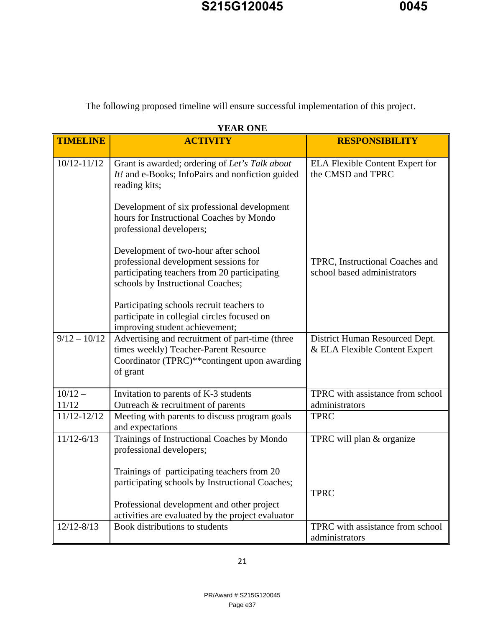The following proposed timeline will ensure successful implementation of this project.

| I LAN VIIL         |                                                                                                                                                                    |                                                                 |  |
|--------------------|--------------------------------------------------------------------------------------------------------------------------------------------------------------------|-----------------------------------------------------------------|--|
| <b>TIMELINE</b>    | <b>ACTIVITY</b>                                                                                                                                                    | <b>RESPONSIBILITY</b>                                           |  |
| $10/12 - 11/12$    | Grant is awarded; ordering of Let's Talk about<br>It! and e-Books; InfoPairs and nonfiction guided<br>reading kits;                                                | <b>ELA Flexible Content Expert for</b><br>the CMSD and TPRC     |  |
|                    | Development of six professional development<br>hours for Instructional Coaches by Mondo<br>professional developers;                                                |                                                                 |  |
|                    | Development of two-hour after school<br>professional development sessions for<br>participating teachers from 20 participating<br>schools by Instructional Coaches; | TPRC, Instructional Coaches and<br>school based administrators  |  |
|                    | Participating schools recruit teachers to<br>participate in collegial circles focused on<br>improving student achievement;                                         |                                                                 |  |
| $9/12 - 10/12$     | Advertising and recruitment of part-time (three<br>times weekly) Teacher-Parent Resource<br>Coordinator (TPRC)**contingent upon awarding<br>of grant               | District Human Resourced Dept.<br>& ELA Flexible Content Expert |  |
| $10/12 -$<br>11/12 | Invitation to parents of K-3 students<br>Outreach & recruitment of parents                                                                                         | TPRC with assistance from school<br>administrators              |  |
| 11/12-12/12        | Meeting with parents to discuss program goals<br>and expectations                                                                                                  | <b>TPRC</b>                                                     |  |
| $11/12 - 6/13$     | Trainings of Instructional Coaches by Mondo<br>professional developers;                                                                                            | TPRC will plan & organize                                       |  |
|                    | Trainings of participating teachers from 20<br>participating schools by Instructional Coaches;                                                                     |                                                                 |  |
|                    | Professional development and other project<br>activities are evaluated by the project evaluator                                                                    | <b>TPRC</b>                                                     |  |
| $12/12 - 8/13$     | Book distributions to students                                                                                                                                     | TPRC with assistance from school<br>administrators              |  |

#### **YEAR ONE**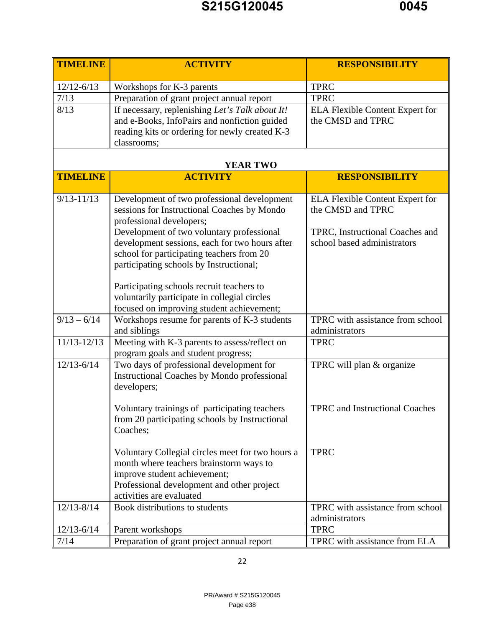| <b>TIMELINE</b> | <b>ACTIVITY</b>                                                                                                                                                                                                                | <b>RESPONSIBILITY</b>                                                                                                         |
|-----------------|--------------------------------------------------------------------------------------------------------------------------------------------------------------------------------------------------------------------------------|-------------------------------------------------------------------------------------------------------------------------------|
| $12/12 - 6/13$  | Workshops for K-3 parents                                                                                                                                                                                                      | <b>TPRC</b>                                                                                                                   |
| 7/13            | Preparation of grant project annual report                                                                                                                                                                                     | <b>TPRC</b>                                                                                                                   |
| 8/13            | If necessary, replenishing Let's Talk about It!<br>and e-Books, InfoPairs and nonfiction guided<br>reading kits or ordering for newly created K-3<br>classrooms;                                                               | <b>ELA Flexible Content Expert for</b><br>the CMSD and TPRC                                                                   |
|                 | <b>YEAR TWO</b>                                                                                                                                                                                                                |                                                                                                                               |
| <b>TIMELINE</b> | <b>ACTIVITY</b>                                                                                                                                                                                                                | <b>RESPONSIBILITY</b>                                                                                                         |
| $9/13 - 11/13$  | Development of two professional development<br>sessions for Instructional Coaches by Mondo<br>professional developers;<br>Development of two voluntary professional<br>development sessions, each for two hours after          | <b>ELA Flexible Content Expert for</b><br>the CMSD and TPRC<br>TPRC, Instructional Coaches and<br>school based administrators |
|                 | school for participating teachers from 20<br>participating schools by Instructional;<br>Participating schools recruit teachers to<br>voluntarily participate in collegial circles<br>focused on improving student achievement; |                                                                                                                               |
| $9/13 - 6/14$   | Workshops resume for parents of K-3 students<br>and siblings                                                                                                                                                                   | TPRC with assistance from school<br>administrators                                                                            |
| 11/13-12/13     | Meeting with K-3 parents to assess/reflect on<br>program goals and student progress;                                                                                                                                           | <b>TPRC</b>                                                                                                                   |
| $12/13 - 6/14$  | Two days of professional development for<br><b>Instructional Coaches by Mondo professional</b><br>developers;                                                                                                                  | TPRC will plan & organize                                                                                                     |
|                 | Voluntary trainings of participating teachers<br>from 20 participating schools by Instructional<br>Coaches;                                                                                                                    | <b>TPRC</b> and Instructional Coaches                                                                                         |
|                 | Voluntary Collegial circles meet for two hours a<br>month where teachers brainstorm ways to<br>improve student achievement;<br>Professional development and other project<br>activities are evaluated                          | <b>TPRC</b>                                                                                                                   |
| $12/13 - 8/14$  | Book distributions to students                                                                                                                                                                                                 | TPRC with assistance from school<br>administrators                                                                            |
| $12/13 - 6/14$  | Parent workshops                                                                                                                                                                                                               | <b>TPRC</b>                                                                                                                   |
| 7/14            | Preparation of grant project annual report                                                                                                                                                                                     | TPRC with assistance from ELA                                                                                                 |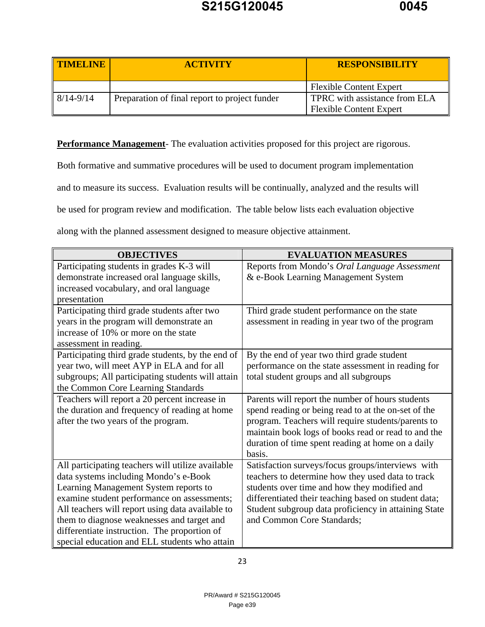| TIMELINE              | <b>ACTIVITY</b>                               | <b>RESPONSIBILITY</b>                                           |
|-----------------------|-----------------------------------------------|-----------------------------------------------------------------|
|                       |                                               | <b>Flexible Content Expert</b>                                  |
| $\parallel$ 8/14-9/14 | Preparation of final report to project funder | TPRC with assistance from ELA<br><b>Flexible Content Expert</b> |

**Performance Management**- The evaluation activities proposed for this project are rigorous.

Both formative and summative procedures will be used to document program implementation

and to measure its success. Evaluation results will be continually, analyzed and the results will

be used for program review and modification. The table below lists each evaluation objective

along with the planned assessment designed to measure objective attainment.

| <b>OBJECTIVES</b>                                 | <b>EVALUATION MEASURES</b>                           |
|---------------------------------------------------|------------------------------------------------------|
| Participating students in grades K-3 will         | Reports from Mondo's Oral Language Assessment        |
| demonstrate increased oral language skills,       | & e-Book Learning Management System                  |
| increased vocabulary, and oral language           |                                                      |
| presentation                                      |                                                      |
| Participating third grade students after two      | Third grade student performance on the state         |
| years in the program will demonstrate an          | assessment in reading in year two of the program     |
| increase of 10% or more on the state              |                                                      |
| assessment in reading.                            |                                                      |
| Participating third grade students, by the end of | By the end of year two third grade student           |
| year two, will meet AYP in ELA and for all        | performance on the state assessment in reading for   |
| subgroups; All participating students will attain | total student groups and all subgroups               |
| the Common Core Learning Standards                |                                                      |
| Teachers will report a 20 percent increase in     | Parents will report the number of hours students     |
| the duration and frequency of reading at home     | spend reading or being read to at the on-set of the  |
| after the two years of the program.               | program. Teachers will require students/parents to   |
|                                                   | maintain book logs of books read or read to and the  |
|                                                   | duration of time spent reading at home on a daily    |
|                                                   | basis.                                               |
| All participating teachers will utilize available | Satisfaction surveys/focus groups/interviews with    |
| data systems including Mondo's e-Book             | teachers to determine how they used data to track    |
| Learning Management System reports to             | students over time and how they modified and         |
| examine student performance on assessments;       | differentiated their teaching based on student data; |
| All teachers will report using data available to  | Student subgroup data proficiency in attaining State |
| them to diagnose weaknesses and target and        | and Common Core Standards;                           |
| differentiate instruction. The proportion of      |                                                      |
| special education and ELL students who attain     |                                                      |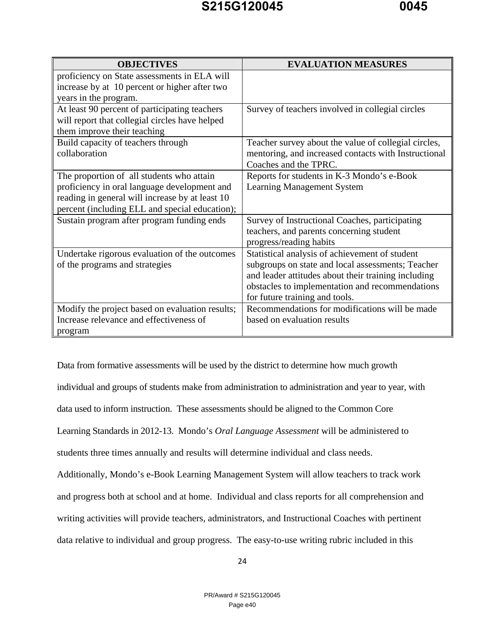| <b>OBJECTIVES</b>                               | <b>EVALUATION MEASURES</b>                           |
|-------------------------------------------------|------------------------------------------------------|
| proficiency on State assessments in ELA will    |                                                      |
| increase by at 10 percent or higher after two   |                                                      |
| years in the program.                           |                                                      |
| At least 90 percent of participating teachers   | Survey of teachers involved in collegial circles     |
| will report that collegial circles have helped  |                                                      |
| them improve their teaching                     |                                                      |
| Build capacity of teachers through              | Teacher survey about the value of collegial circles, |
| collaboration                                   | mentoring, and increased contacts with Instructional |
|                                                 | Coaches and the TPRC.                                |
| The proportion of all students who attain       | Reports for students in K-3 Mondo's e-Book           |
| proficiency in oral language development and    | <b>Learning Management System</b>                    |
| reading in general will increase by at least 10 |                                                      |
| percent (including ELL and special education);  |                                                      |
| Sustain program after program funding ends      | Survey of Instructional Coaches, participating       |
|                                                 | teachers, and parents concerning student             |
|                                                 | progress/reading habits                              |
| Undertake rigorous evaluation of the outcomes   | Statistical analysis of achievement of student       |
| of the programs and strategies                  | subgroups on state and local assessments; Teacher    |
|                                                 | and leader attitudes about their training including  |
|                                                 | obstacles to implementation and recommendations      |
|                                                 | for future training and tools.                       |
| Modify the project based on evaluation results; | Recommendations for modifications will be made       |
| Increase relevance and effectiveness of         | based on evaluation results                          |
| program                                         |                                                      |

Data from formative assessments will be used by the district to determine how much growth individual and groups of students make from administration to administration and year to year, with data used to inform instruction. These assessments should be aligned to the Common Core Learning Standards in 2012-13. Mondo's *Oral Language Assessment* will be administered to students three times annually and results will determine individual and class needs. Additionally, Mondo's e-Book Learning Management System will allow teachers to track work and progress both at school and at home. Individual and class reports for all comprehension and writing activities will provide teachers, administrators, and Instructional Coaches with pertinent data relative to individual and group progress. The easy-to-use writing rubric included in this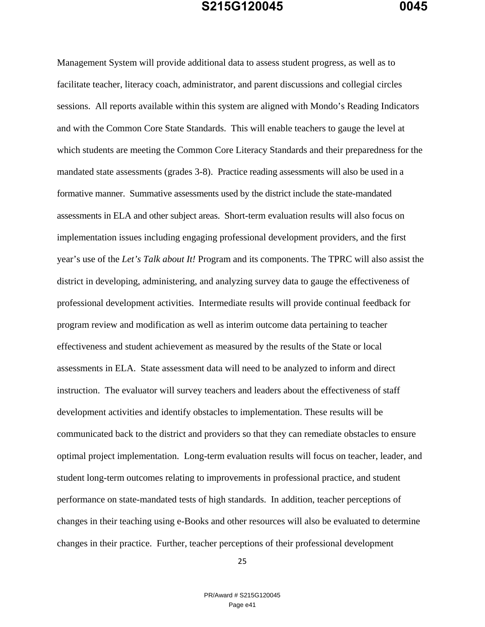Management System will provide additional data to assess student progress, as well as to facilitate teacher, literacy coach, administrator, and parent discussions and collegial circles sessions. All reports available within this system are aligned with Mondo's Reading Indicators and with the Common Core State Standards. This will enable teachers to gauge the level at which students are meeting the Common Core Literacy Standards and their preparedness for the mandated state assessments (grades 3-8). Practice reading assessments will also be used in a formative manner. Summative assessments used by the district include the state-mandated assessments in ELA and other subject areas. Short-term evaluation results will also focus on implementation issues including engaging professional development providers, and the first year's use of the *Let's Talk about It!* Program and its components. The TPRC will also assist the district in developing, administering, and analyzing survey data to gauge the effectiveness of professional development activities. Intermediate results will provide continual feedback for program review and modification as well as interim outcome data pertaining to teacher effectiveness and student achievement as measured by the results of the State or local assessments in ELA. State assessment data will need to be analyzed to inform and direct instruction. The evaluator will survey teachers and leaders about the effectiveness of staff development activities and identify obstacles to implementation. These results will be communicated back to the district and providers so that they can remediate obstacles to ensure optimal project implementation. Long-term evaluation results will focus on teacher, leader, and student long-term outcomes relating to improvements in professional practice, and student performance on state-mandated tests of high standards. In addition, teacher perceptions of changes in their teaching using e-Books and other resources will also be evaluated to determine changes in their practice. Further, teacher perceptions of their professional development